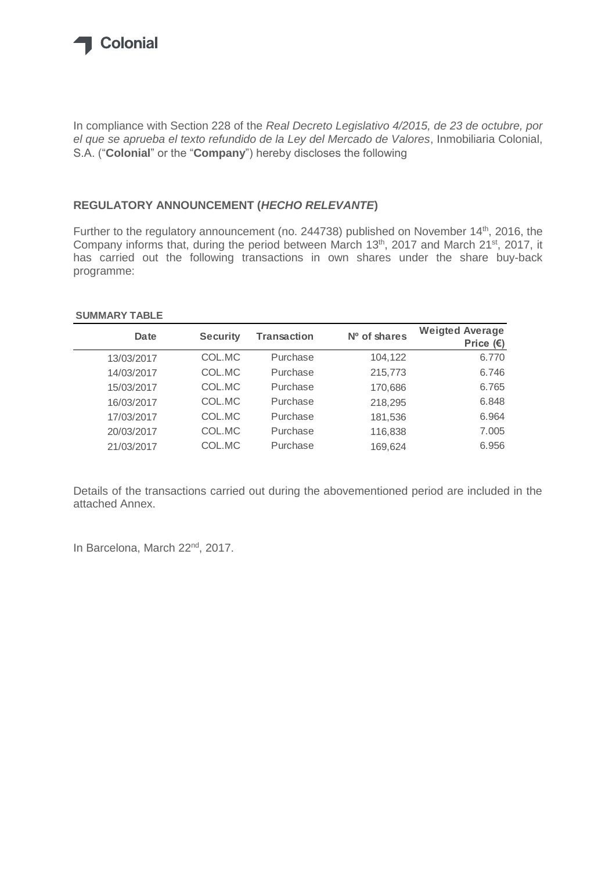

In compliance with Section 228 of the *Real Decreto Legislativo 4/2015, de 23 de octubre, por el que se aprueba el texto refundido de la Ley del Mercado de Valores*, Inmobiliaria Colonial, S.A. ("**Colonial**" or the "**Company**") hereby discloses the following

## **REGULATORY ANNOUNCEMENT (***HECHO RELEVANTE***)**

Further to the regulatory announcement (no. 244738) published on November 14<sup>th</sup>, 2016, the Company informs that, during the period between March 13<sup>th</sup>, 2017 and March 21<sup>st</sup>, 2017, it has carried out the following transactions in own shares under the share buy-back programme:

## **SUMMARY TABLE**

| Date       | <b>Security</b> | <b>Transaction</b> | Nº of shares | <b>Weigted Average</b><br>Price $(\epsilon)$ |
|------------|-----------------|--------------------|--------------|----------------------------------------------|
| 13/03/2017 | COL.MC          | Purchase           | 104,122      | 6.770                                        |
| 14/03/2017 | COL.MC          | Purchase           | 215,773      | 6.746                                        |
| 15/03/2017 | COL.MC          | Purchase           | 170,686      | 6.765                                        |
| 16/03/2017 | COL.MC          | Purchase           | 218,295      | 6.848                                        |
| 17/03/2017 | COL.MC          | Purchase           | 181,536      | 6.964                                        |
| 20/03/2017 | COL.MC          | Purchase           | 116,838      | 7.005                                        |
| 21/03/2017 | COL.MC          | Purchase           | 169,624      | 6.956                                        |

Details of the transactions carried out during the abovementioned period are included in the attached Annex.

In Barcelona, March 22<sup>nd</sup>, 2017.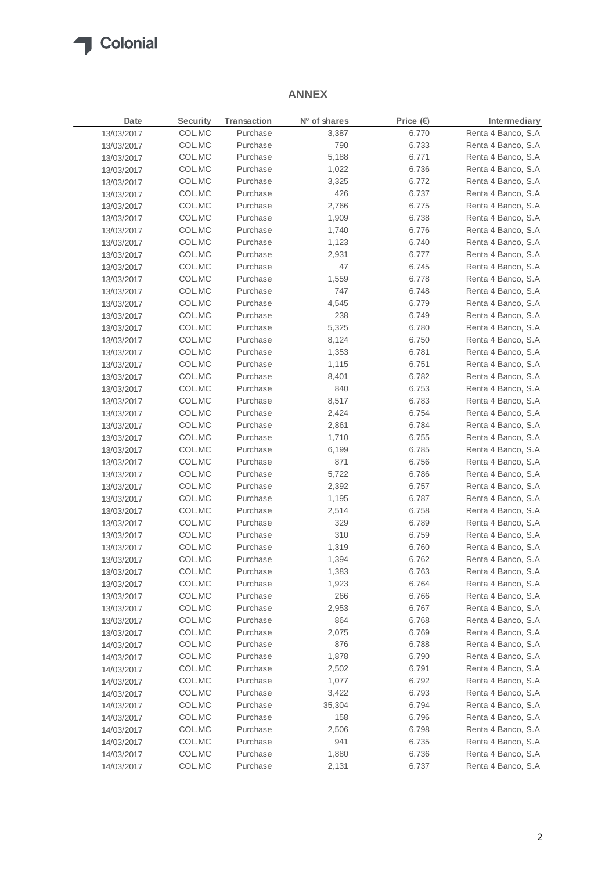

## **ANNEX**

| Date       | <b>Security</b> | Transaction          | Nº of shares | Price $(E)$ | Intermediary                             |
|------------|-----------------|----------------------|--------------|-------------|------------------------------------------|
| 13/03/2017 | COL.MC          | Purchase             | 3,387        | 6.770       | Renta 4 Banco, S.A                       |
| 13/03/2017 | COL.MC          | Purchase             | 790          | 6.733       | Renta 4 Banco, S.A                       |
| 13/03/2017 | COL.MC          | Purchase             | 5,188        | 6.771       | Renta 4 Banco, S.A                       |
| 13/03/2017 | COL.MC          | Purchase             | 1,022        | 6.736       | Renta 4 Banco, S.A                       |
| 13/03/2017 | COL.MC          | Purchase             | 3,325        | 6.772       | Renta 4 Banco, S.A                       |
| 13/03/2017 | COL.MC          | Purchase             | 426          | 6.737       | Renta 4 Banco, S.A                       |
| 13/03/2017 | COL.MC          | Purchase             | 2,766        | 6.775       | Renta 4 Banco, S.A                       |
| 13/03/2017 | COL.MC          | Purchase             | 1,909        | 6.738       | Renta 4 Banco, S.A                       |
| 13/03/2017 | COL.MC          | Purchase             | 1,740        | 6.776       | Renta 4 Banco, S.A                       |
| 13/03/2017 | COL.MC          | Purchase             | 1,123        | 6.740       | Renta 4 Banco, S.A                       |
| 13/03/2017 | COL.MC          | Purchase             | 2,931        | 6.777       | Renta 4 Banco, S.A                       |
| 13/03/2017 | COL.MC          | Purchase             | 47           | 6.745       | Renta 4 Banco, S.A                       |
| 13/03/2017 | COL.MC          | Purchase             | 1,559        | 6.778       | Renta 4 Banco, S.A                       |
| 13/03/2017 | COL.MC          | Purchase             | 747          | 6.748       | Renta 4 Banco, S.A                       |
| 13/03/2017 | COL.MC          | Purchase             | 4,545        | 6.779       | Renta 4 Banco, S.A                       |
| 13/03/2017 | COL.MC          | Purchase             | 238          | 6.749       | Renta 4 Banco, S.A                       |
| 13/03/2017 | COL.MC          | Purchase             | 5,325        | 6.780       | Renta 4 Banco, S.A                       |
| 13/03/2017 | COL.MC          | Purchase             | 8,124        | 6.750       | Renta 4 Banco, S.A                       |
| 13/03/2017 | COL.MC          | Purchase             | 1,353        | 6.781       | Renta 4 Banco, S.A                       |
| 13/03/2017 | COL.MC          | Purchase             | 1,115        | 6.751       | Renta 4 Banco, S.A                       |
| 13/03/2017 | COL.MC          | Purchase             | 8,401        | 6.782       | Renta 4 Banco, S.A                       |
|            | COL.MC          | Purchase             | 840          | 6.753       | Renta 4 Banco, S.A                       |
| 13/03/2017 | COL.MC          | Purchase             | 8,517        |             | Renta 4 Banco, S.A                       |
| 13/03/2017 |                 |                      |              | 6.783       | Renta 4 Banco, S.A                       |
| 13/03/2017 | COL.MC          | Purchase             | 2,424        | 6.754       |                                          |
| 13/03/2017 | COL.MC          | Purchase<br>Purchase | 2,861        | 6.784       | Renta 4 Banco, S.A<br>Renta 4 Banco, S.A |
| 13/03/2017 | COL.MC          | Purchase             | 1,710        | 6.755       |                                          |
| 13/03/2017 | COL.MC          |                      | 6,199        | 6.785       | Renta 4 Banco, S.A                       |
| 13/03/2017 | COL.MC          | Purchase             | 871          | 6.756       | Renta 4 Banco, S.A                       |
| 13/03/2017 | COL.MC          | Purchase             | 5,722        | 6.786       | Renta 4 Banco, S.A                       |
| 13/03/2017 | COL.MC          | Purchase             | 2,392        | 6.757       | Renta 4 Banco, S.A                       |
| 13/03/2017 | COL.MC          | Purchase             | 1,195        | 6.787       | Renta 4 Banco, S.A                       |
| 13/03/2017 | COL.MC          | Purchase             | 2,514        | 6.758       | Renta 4 Banco, S.A                       |
| 13/03/2017 | COL.MC          | Purchase             | 329          | 6.789       | Renta 4 Banco, S.A                       |
| 13/03/2017 | COL.MC          | Purchase             | 310          | 6.759       | Renta 4 Banco, S.A                       |
| 13/03/2017 | COL.MC          | Purchase             | 1,319        | 6.760       | Renta 4 Banco, S.A                       |
| 13/03/2017 | COL.MC          | Purchase             | 1,394        | 6.762       | Renta 4 Banco, S.A                       |
| 13/03/2017 | COL.MC          | Purchase             | 1,383        | 6.763       | Renta 4 Banco, S.A                       |
| 13/03/2017 | COL.MC          | Purchase             | 1,923        | 6.764       | Renta 4 Banco, S.A                       |
| 13/03/2017 | COL.MC          | Purchase             | 266          | 6.766       | Renta 4 Banco, S.A                       |
| 13/03/2017 | COL.MC          | Purchase             | 2,953        | 6.767       | Renta 4 Banco, S.A                       |
| 13/03/2017 | COL.MC          | Purchase             | 864          | 6.768       | Renta 4 Banco, S.A                       |
| 13/03/2017 | COL.MC          | Purchase             | 2,075        | 6.769       | Renta 4 Banco, S.A                       |
| 14/03/2017 | COL.MC          | Purchase             | 876          | 6.788       | Renta 4 Banco, S.A                       |
| 14/03/2017 | COL.MC          | Purchase             | 1,878        | 6.790       | Renta 4 Banco, S.A.                      |
| 14/03/2017 | COL.MC          | Purchase             | 2,502        | 6.791       | Renta 4 Banco, S.A                       |
| 14/03/2017 | COL.MC          | Purchase             | 1,077        | 6.792       | Renta 4 Banco, S.A                       |
| 14/03/2017 | COL.MC          | Purchase             | 3,422        | 6.793       | Renta 4 Banco, S.A                       |
| 14/03/2017 | COL.MC          | Purchase             | 35,304       | 6.794       | Renta 4 Banco, S.A                       |
| 14/03/2017 | COL.MC          | Purchase             | 158          | 6.796       | Renta 4 Banco, S.A                       |
| 14/03/2017 | COL.MC          | Purchase             | 2,506        | 6.798       | Renta 4 Banco, S.A                       |
| 14/03/2017 | COL.MC          | Purchase             | 941          | 6.735       | Renta 4 Banco, S.A                       |
| 14/03/2017 | COL.MC          | Purchase             | 1,880        | 6.736       | Renta 4 Banco, S.A                       |
| 14/03/2017 | COL.MC          | Purchase             | 2,131        | 6.737       | Renta 4 Banco, S.A                       |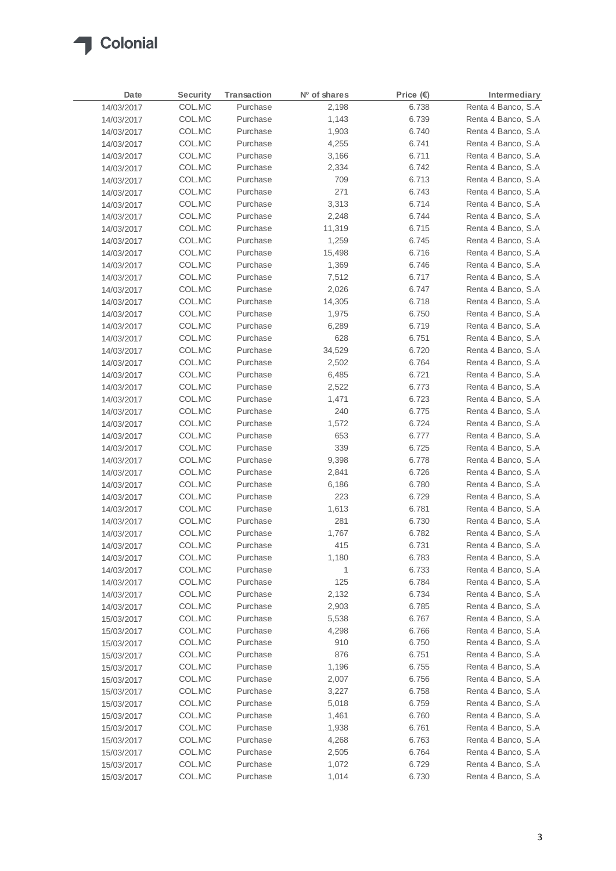

| Date       | Security | Transaction | Nº of shares | Price $(E)$ | Intermediary        |
|------------|----------|-------------|--------------|-------------|---------------------|
| 14/03/2017 | COL.MC   | Purchase    | 2,198        | 6.738       | Renta 4 Banco, S.A  |
| 14/03/2017 | COL.MC   | Purchase    | 1,143        | 6.739       | Renta 4 Banco, S.A  |
| 14/03/2017 | COL.MC   | Purchase    | 1,903        | 6.740       | Renta 4 Banco, S.A  |
| 14/03/2017 | COL.MC   | Purchase    | 4,255        | 6.741       | Renta 4 Banco, S.A  |
| 14/03/2017 | COL.MC   | Purchase    | 3,166        | 6.711       | Renta 4 Banco, S.A  |
| 14/03/2017 | COL.MC   | Purchase    | 2,334        | 6.742       | Renta 4 Banco, S.A  |
| 14/03/2017 | COL.MC   | Purchase    | 709          | 6.713       | Renta 4 Banco, S.A  |
| 14/03/2017 | COL.MC   | Purchase    | 271          | 6.743       | Renta 4 Banco, S.A  |
| 14/03/2017 | COL.MC   | Purchase    | 3,313        | 6.714       | Renta 4 Banco, S.A  |
| 14/03/2017 | COL.MC   | Purchase    | 2,248        | 6.744       | Renta 4 Banco, S.A  |
| 14/03/2017 | COL.MC   | Purchase    | 11,319       | 6.715       | Renta 4 Banco, S.A  |
| 14/03/2017 | COL.MC   | Purchase    | 1,259        | 6.745       | Renta 4 Banco, S.A  |
| 14/03/2017 | COL.MC   | Purchase    | 15,498       | 6.716       | Renta 4 Banco, S.A  |
| 14/03/2017 | COL.MC   | Purchase    | 1,369        | 6.746       | Renta 4 Banco, S.A  |
| 14/03/2017 | COL.MC   | Purchase    | 7,512        | 6.717       | Renta 4 Banco, S.A  |
| 14/03/2017 | COL.MC   | Purchase    | 2,026        | 6.747       | Renta 4 Banco, S.A  |
| 14/03/2017 | COL.MC   | Purchase    | 14,305       | 6.718       | Renta 4 Banco, S.A  |
| 14/03/2017 | COL.MC   | Purchase    | 1,975        | 6.750       | Renta 4 Banco, S.A  |
| 14/03/2017 | COL.MC   | Purchase    | 6,289        | 6.719       | Renta 4 Banco, S.A  |
| 14/03/2017 | COL.MC   | Purchase    | 628          | 6.751       | Renta 4 Banco, S.A  |
| 14/03/2017 | COL.MC   | Purchase    | 34,529       | 6.720       | Renta 4 Banco, S.A  |
| 14/03/2017 | COL.MC   | Purchase    | 2,502        | 6.764       | Renta 4 Banco, S.A  |
| 14/03/2017 | COL.MC   | Purchase    | 6,485        | 6.721       | Renta 4 Banco, S.A  |
| 14/03/2017 | COL.MC   | Purchase    | 2,522        | 6.773       | Renta 4 Banco, S.A  |
| 14/03/2017 | COL.MC   | Purchase    | 1,471        | 6.723       | Renta 4 Banco, S.A  |
| 14/03/2017 | COL.MC   | Purchase    | 240          | 6.775       | Renta 4 Banco, S.A  |
| 14/03/2017 | COL.MC   | Purchase    | 1,572        | 6.724       | Renta 4 Banco, S.A  |
| 14/03/2017 | COL.MC   | Purchase    | 653          | 6.777       | Renta 4 Banco, S.A  |
| 14/03/2017 | COL.MC   | Purchase    | 339          | 6.725       | Renta 4 Banco, S.A  |
| 14/03/2017 | COL.MC   | Purchase    | 9,398        | 6.778       | Renta 4 Banco, S.A  |
| 14/03/2017 | COL.MC   | Purchase    | 2,841        | 6.726       | Renta 4 Banco, S.A  |
| 14/03/2017 | COL.MC   | Purchase    | 6,186        | 6.780       | Renta 4 Banco, S.A  |
| 14/03/2017 | COL.MC   | Purchase    | 223          | 6.729       | Renta 4 Banco, S.A  |
| 14/03/2017 | COL.MC   | Purchase    | 1,613        | 6.781       | Renta 4 Banco, S.A  |
| 14/03/2017 | COL.MC   | Purchase    | 281          | 6.730       | Renta 4 Banco, S.A  |
| 14/03/2017 | COL.MC   | Purchase    | 1,767        | 6.782       | Renta 4 Banco, S.A  |
| 14/03/2017 | COL.MC   | Purchase    | 415          | 6.731       | Renta 4 Banco, S.A  |
| 14/03/2017 | COL.MC   | Purchase    | 1,180        | 6.783       | Renta 4 Banco, S.A  |
| 14/03/2017 | COL.MC   | Purchase    | 1            | 6.733       | Renta 4 Banco, S.A  |
| 14/03/2017 | COL.MC   | Purchase    | 125          | 6.784       | Renta 4 Banco, S.A  |
| 14/03/2017 | COL.MC   | Purchase    | 2,132        | 6.734       | Renta 4 Banco, S.A  |
| 14/03/2017 | COL.MC   | Purchase    | 2,903        | 6.785       | Renta 4 Banco, S.A  |
| 15/03/2017 | COL.MC   | Purchase    | 5,538        | 6.767       | Renta 4 Banco, S.A  |
| 15/03/2017 | COL.MC   | Purchase    | 4,298        | 6.766       | Renta 4 Banco, S.A  |
| 15/03/2017 | COL.MC   | Purchase    | 910          | 6.750       | Renta 4 Banco, S.A  |
| 15/03/2017 | COL.MC   | Purchase    | 876          | 6.751       | Renta 4 Banco, S.A  |
| 15/03/2017 | COL.MC   | Purchase    | 1,196        | 6.755       | Renta 4 Banco, S.A  |
| 15/03/2017 | COL.MC   | Purchase    | 2,007        | 6.756       | Renta 4 Banco, S.A  |
| 15/03/2017 | COL.MC   | Purchase    | 3,227        | 6.758       | Renta 4 Banco, S.A  |
| 15/03/2017 | COL.MC   | Purchase    | 5,018        | 6.759       | Renta 4 Banco, S.A  |
| 15/03/2017 | COL.MC   | Purchase    | 1,461        | 6.760       | Renta 4 Banco, S.A  |
| 15/03/2017 | COL.MC   | Purchase    | 1,938        | 6.761       | Renta 4 Banco, S.A  |
| 15/03/2017 | COL.MC   | Purchase    | 4,268        | 6.763       | Renta 4 Banco, S.A  |
| 15/03/2017 | COL.MC   | Purchase    | 2,505        | 6.764       | Renta 4 Banco, S.A  |
| 15/03/2017 | COL.MC   | Purchase    | 1,072        | 6.729       | Renta 4 Banco, S.A  |
| 15/03/2017 | COL.MC   | Purchase    | 1,014        | 6.730       | Renta 4 Banco, S.A. |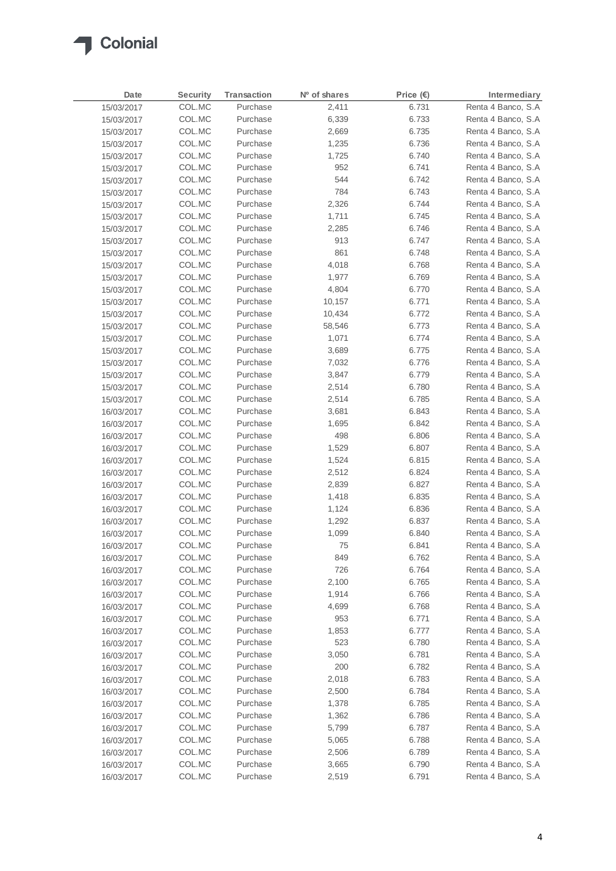

| Date       | <b>Security</b> | <b>Transaction</b> | Nº of shares | Price (€) | Intermediary        |
|------------|-----------------|--------------------|--------------|-----------|---------------------|
| 15/03/2017 | COL.MC          | Purchase           | 2,411        | 6.731     | Renta 4 Banco, S.A  |
| 15/03/2017 | COL.MC          | Purchase           | 6,339        | 6.733     | Renta 4 Banco, S.A  |
| 15/03/2017 | COL.MC          | Purchase           | 2,669        | 6.735     | Renta 4 Banco, S.A  |
| 15/03/2017 | COL.MC          | Purchase           | 1,235        | 6.736     | Renta 4 Banco, S.A  |
| 15/03/2017 | COL.MC          | Purchase           | 1,725        | 6.740     | Renta 4 Banco, S.A  |
| 15/03/2017 | COL.MC          | Purchase           | 952          | 6.741     | Renta 4 Banco, S.A  |
| 15/03/2017 | COL.MC          | Purchase           | 544          | 6.742     | Renta 4 Banco, S.A  |
| 15/03/2017 | COL.MC          | Purchase           | 784          | 6.743     | Renta 4 Banco, S.A  |
| 15/03/2017 | COL.MC          | Purchase           | 2,326        | 6.744     | Renta 4 Banco, S.A  |
| 15/03/2017 | COL.MC          | Purchase           | 1,711        | 6.745     | Renta 4 Banco, S.A  |
| 15/03/2017 | COL.MC          | Purchase           | 2,285        | 6.746     | Renta 4 Banco, S.A  |
| 15/03/2017 | COL.MC          | Purchase           | 913          | 6.747     | Renta 4 Banco, S.A  |
| 15/03/2017 | COL.MC          | Purchase           | 861          | 6.748     | Renta 4 Banco, S.A  |
| 15/03/2017 | COL.MC          | Purchase           | 4,018        | 6.768     | Renta 4 Banco, S.A  |
| 15/03/2017 | COL.MC          | Purchase           | 1,977        | 6.769     | Renta 4 Banco, S.A  |
| 15/03/2017 | COL.MC          | Purchase           | 4,804        | 6.770     | Renta 4 Banco, S.A  |
| 15/03/2017 | COL.MC          | Purchase           | 10,157       | 6.771     | Renta 4 Banco, S.A  |
| 15/03/2017 | COL.MC          | Purchase           | 10,434       | 6.772     | Renta 4 Banco, S.A  |
| 15/03/2017 | COL.MC          | Purchase           | 58,546       | 6.773     | Renta 4 Banco, S.A  |
| 15/03/2017 | COL.MC          | Purchase           | 1,071        | 6.774     | Renta 4 Banco, S.A  |
| 15/03/2017 | COL.MC          | Purchase           | 3,689        | 6.775     | Renta 4 Banco, S.A  |
| 15/03/2017 | COL.MC          | Purchase           | 7,032        | 6.776     | Renta 4 Banco, S.A  |
| 15/03/2017 | COL.MC          | Purchase           | 3,847        | 6.779     | Renta 4 Banco, S.A  |
| 15/03/2017 | COL.MC          | Purchase           | 2,514        | 6.780     | Renta 4 Banco, S.A  |
| 15/03/2017 | COL.MC          | Purchase           | 2,514        | 6.785     | Renta 4 Banco, S.A  |
| 16/03/2017 | COL.MC          | Purchase           | 3,681        | 6.843     | Renta 4 Banco, S.A  |
| 16/03/2017 | COL.MC          | Purchase           | 1,695        | 6.842     | Renta 4 Banco, S.A  |
| 16/03/2017 | COL.MC          | Purchase           | 498          | 6.806     | Renta 4 Banco, S.A  |
| 16/03/2017 | COL.MC          | Purchase           | 1,529        | 6.807     | Renta 4 Banco, S.A  |
| 16/03/2017 | COL.MC          | Purchase           | 1,524        | 6.815     | Renta 4 Banco, S.A  |
| 16/03/2017 | COL.MC          | Purchase           | 2,512        | 6.824     | Renta 4 Banco, S.A  |
| 16/03/2017 | COL.MC          | Purchase           | 2,839        | 6.827     | Renta 4 Banco, S.A  |
| 16/03/2017 | COL.MC          | Purchase           | 1,418        | 6.835     | Renta 4 Banco, S.A  |
| 16/03/2017 | COL.MC          | Purchase           | 1,124        | 6.836     | Renta 4 Banco, S.A  |
| 16/03/2017 | COL.MC          | Purchase           | 1,292        | 6.837     | Renta 4 Banco, S.A  |
| 16/03/2017 | COL.MC          | Purchase           | 1,099        | 6.840     | Renta 4 Banco, S.A  |
| 16/03/2017 | COL.MC          | Purchase           | 75           | 6.841     | Renta 4 Banco, S.A  |
| 16/03/2017 | COL.MC          | Purchase           | 849          | 6.762     | Renta 4 Banco, S.A  |
| 16/03/2017 | COL.MC          | Purchase           | 726          | 6.764     | Renta 4 Banco, S.A  |
| 16/03/2017 | COL.MC          | Purchase           | 2,100        | 6.765     | Renta 4 Banco, S.A. |
| 16/03/2017 | COL.MC          | Purchase           | 1,914        | 6.766     | Renta 4 Banco, S.A. |
| 16/03/2017 | COL.MC          | Purchase           | 4,699        | 6.768     | Renta 4 Banco, S.A  |
| 16/03/2017 | COL.MC          | Purchase           | 953          | 6.771     | Renta 4 Banco, S.A  |
| 16/03/2017 | COL.MC          | Purchase           | 1,853        | 6.777     | Renta 4 Banco, S.A  |
| 16/03/2017 | COL.MC          | Purchase           | 523          | 6.780     | Renta 4 Banco, S.A  |
| 16/03/2017 | COL.MC          | Purchase           | 3,050        | 6.781     | Renta 4 Banco, S.A. |
| 16/03/2017 | COL.MC          | Purchase           | 200          | 6.782     | Renta 4 Banco, S.A  |
| 16/03/2017 | COL.MC          | Purchase           | 2,018        | 6.783     | Renta 4 Banco, S.A  |
| 16/03/2017 | COL.MC          | Purchase           | 2,500        | 6.784     | Renta 4 Banco, S.A  |
| 16/03/2017 | COL.MC          | Purchase           | 1,378        | 6.785     | Renta 4 Banco, S.A  |
| 16/03/2017 | COL.MC          | Purchase           | 1,362        | 6.786     | Renta 4 Banco, S.A  |
| 16/03/2017 | COL.MC          | Purchase           | 5,799        | 6.787     | Renta 4 Banco, S.A  |
| 16/03/2017 | COL.MC          | Purchase           | 5,065        | 6.788     | Renta 4 Banco, S.A. |
| 16/03/2017 | COL.MC          | Purchase           | 2,506        | 6.789     | Renta 4 Banco, S.A  |
| 16/03/2017 | COL.MC          | Purchase           | 3,665        | 6.790     | Renta 4 Banco, S.A  |
| 16/03/2017 | COL.MC          | Purchase           | 2,519        | 6.791     | Renta 4 Banco, S.A  |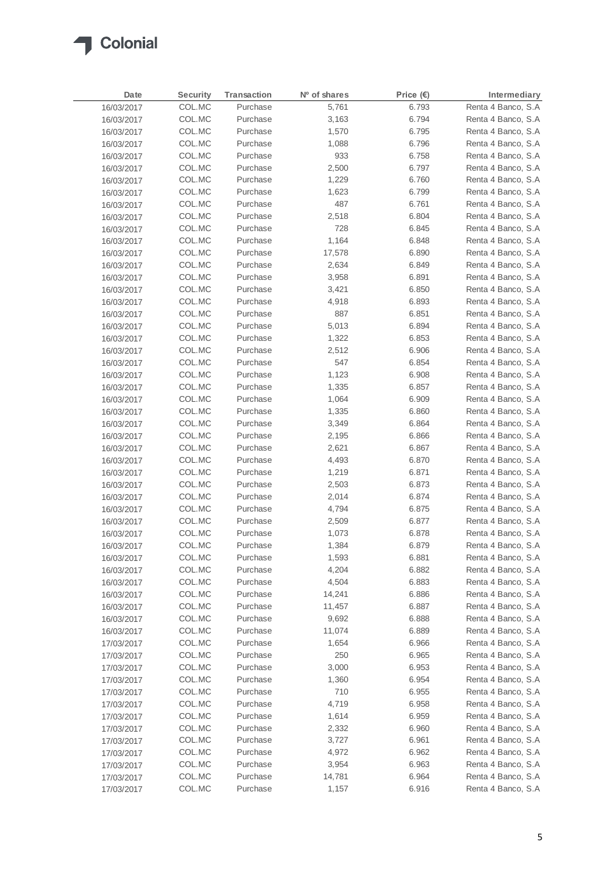

| Date       | Security | Transaction | Nº of shares | Price $(E)$ | Intermediary        |
|------------|----------|-------------|--------------|-------------|---------------------|
| 16/03/2017 | COL.MC   | Purchase    | 5,761        | 6.793       | Renta 4 Banco, S.A  |
| 16/03/2017 | COL.MC   | Purchase    | 3,163        | 6.794       | Renta 4 Banco, S.A  |
| 16/03/2017 | COL.MC   | Purchase    | 1,570        | 6.795       | Renta 4 Banco, S.A  |
| 16/03/2017 | COL.MC   | Purchase    | 1,088        | 6.796       | Renta 4 Banco, S.A  |
| 16/03/2017 | COL.MC   | Purchase    | 933          | 6.758       | Renta 4 Banco, S.A  |
| 16/03/2017 | COL.MC   | Purchase    | 2,500        | 6.797       | Renta 4 Banco, S.A  |
| 16/03/2017 | COL.MC   | Purchase    | 1,229        | 6.760       | Renta 4 Banco, S.A  |
| 16/03/2017 | COL.MC   | Purchase    | 1,623        | 6.799       | Renta 4 Banco, S.A  |
| 16/03/2017 | COL.MC   | Purchase    | 487          | 6.761       | Renta 4 Banco, S.A. |
| 16/03/2017 | COL.MC   | Purchase    | 2,518        | 6.804       | Renta 4 Banco, S.A  |
| 16/03/2017 | COL.MC   | Purchase    | 728          | 6.845       | Renta 4 Banco, S.A  |
| 16/03/2017 | COL.MC   | Purchase    | 1,164        | 6.848       | Renta 4 Banco, S.A  |
| 16/03/2017 | COL.MC   | Purchase    | 17,578       | 6.890       | Renta 4 Banco, S.A  |
| 16/03/2017 | COL.MC   | Purchase    | 2,634        | 6.849       | Renta 4 Banco, S.A  |
| 16/03/2017 | COL.MC   | Purchase    | 3,958        | 6.891       | Renta 4 Banco, S.A. |
| 16/03/2017 | COL.MC   | Purchase    | 3,421        | 6.850       | Renta 4 Banco, S.A  |
| 16/03/2017 | COL.MC   | Purchase    | 4,918        | 6.893       | Renta 4 Banco, S.A  |
| 16/03/2017 | COL.MC   | Purchase    | 887          | 6.851       | Renta 4 Banco, S.A  |
| 16/03/2017 | COL.MC   | Purchase    | 5,013        | 6.894       | Renta 4 Banco, S.A  |
| 16/03/2017 | COL.MC   | Purchase    | 1,322        | 6.853       | Renta 4 Banco, S.A  |
| 16/03/2017 | COL.MC   | Purchase    | 2,512        | 6.906       | Renta 4 Banco, S.A  |
| 16/03/2017 | COL.MC   | Purchase    | 547          | 6.854       | Renta 4 Banco, S.A. |
| 16/03/2017 | COL.MC   | Purchase    | 1,123        | 6.908       | Renta 4 Banco, S.A  |
| 16/03/2017 | COL.MC   | Purchase    | 1,335        | 6.857       | Renta 4 Banco, S.A  |
| 16/03/2017 | COL.MC   | Purchase    | 1,064        | 6.909       | Renta 4 Banco, S.A  |
| 16/03/2017 | COL.MC   | Purchase    | 1,335        | 6.860       | Renta 4 Banco, S.A  |
| 16/03/2017 | COL.MC   | Purchase    | 3,349        | 6.864       | Renta 4 Banco, S.A  |
| 16/03/2017 | COL.MC   | Purchase    | 2,195        | 6.866       | Renta 4 Banco, S.A  |
| 16/03/2017 | COL.MC   | Purchase    | 2,621        | 6.867       | Renta 4 Banco, S.A  |
| 16/03/2017 | COL.MC   | Purchase    | 4,493        | 6.870       | Renta 4 Banco, S.A  |
| 16/03/2017 | COL.MC   | Purchase    | 1,219        | 6.871       | Renta 4 Banco, S.A  |
| 16/03/2017 | COL.MC   | Purchase    | 2,503        | 6.873       | Renta 4 Banco, S.A  |
| 16/03/2017 | COL.MC   | Purchase    | 2,014        | 6.874       | Renta 4 Banco, S.A  |
| 16/03/2017 | COL.MC   | Purchase    | 4,794        | 6.875       | Renta 4 Banco, S.A  |
| 16/03/2017 | COL.MC   | Purchase    | 2,509        | 6.877       | Renta 4 Banco, S.A  |
| 16/03/2017 | COL.MC   | Purchase    | 1,073        | 6.878       | Renta 4 Banco, S.A  |
| 16/03/2017 | COL.MC   | Purchase    | 1,384        | 6.879       | Renta 4 Banco, S.A  |
| 16/03/2017 | COL.MC   | Purchase    | 1,593        | 6.881       | Renta 4 Banco, S.A  |
| 16/03/2017 | COL.MC   | Purchase    | 4,204        | 6.882       | Renta 4 Banco, S.A  |
| 16/03/2017 | COL.MC   | Purchase    | 4,504        | 6.883       | Renta 4 Banco, S.A  |
| 16/03/2017 | COL.MC   | Purchase    | 14,241       | 6.886       | Renta 4 Banco, S.A  |
| 16/03/2017 | COL.MC   | Purchase    | 11,457       | 6.887       | Renta 4 Banco, S.A  |
| 16/03/2017 | COL.MC   | Purchase    | 9,692        | 6.888       | Renta 4 Banco, S.A  |
| 16/03/2017 | COL.MC   | Purchase    | 11,074       | 6.889       | Renta 4 Banco, S.A  |
| 17/03/2017 | COL.MC   | Purchase    | 1,654        | 6.966       | Renta 4 Banco, S.A  |
| 17/03/2017 | COL.MC   | Purchase    | 250          | 6.965       | Renta 4 Banco, S.A  |
| 17/03/2017 | COL.MC   | Purchase    | 3,000        | 6.953       | Renta 4 Banco, S.A  |
| 17/03/2017 | COL.MC   | Purchase    | 1,360        | 6.954       | Renta 4 Banco, S.A. |
| 17/03/2017 | COL.MC   | Purchase    | 710          | 6.955       | Renta 4 Banco, S.A  |
| 17/03/2017 | COL.MC   | Purchase    | 4,719        | 6.958       | Renta 4 Banco, S.A  |
| 17/03/2017 | COL.MC   | Purchase    | 1,614        | 6.959       | Renta 4 Banco, S.A  |
| 17/03/2017 | COL.MC   | Purchase    | 2,332        | 6.960       | Renta 4 Banco, S.A  |
| 17/03/2017 | COL.MC   | Purchase    | 3,727        | 6.961       | Renta 4 Banco, S.A  |
| 17/03/2017 | COL.MC   | Purchase    | 4,972        | 6.962       | Renta 4 Banco, S.A  |
| 17/03/2017 | COL.MC   | Purchase    | 3,954        | 6.963       | Renta 4 Banco, S.A. |
| 17/03/2017 | COL.MC   | Purchase    | 14,781       | 6.964       | Renta 4 Banco, S.A  |
| 17/03/2017 | COL.MC   | Purchase    | 1,157        | 6.916       | Renta 4 Banco, S.A  |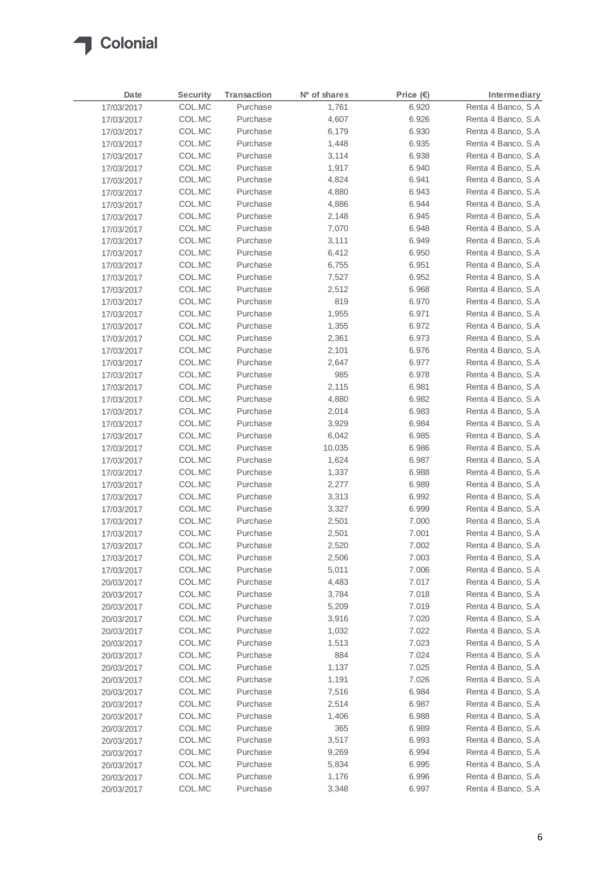

| Date       | <b>Security</b> | Transaction | Nº of shares | Price $(\epsilon)$ | Intermediary       |
|------------|-----------------|-------------|--------------|--------------------|--------------------|
| 17/03/2017 | COL.MC          | Purchase    | 1,761        | 6.920              | Renta 4 Banco, S.A |
| 17/03/2017 | COL.MC          | Purchase    | 4,607        | 6.926              | Renta 4 Banco, S.A |
| 17/03/2017 | COL.MC          | Purchase    | 6,179        | 6.930              | Renta 4 Banco, S.A |
| 17/03/2017 | COL.MC          | Purchase    | 1,448        | 6.935              | Renta 4 Banco, S.A |
| 17/03/2017 | COL.MC          | Purchase    | 3,114        | 6.938              | Renta 4 Banco, S.A |
| 17/03/2017 | COL.MC          | Purchase    | 1,917        | 6.940              | Renta 4 Banco, S.A |
| 17/03/2017 | COL.MC          | Purchase    | 4,824        | 6.941              | Renta 4 Banco, S.A |
| 17/03/2017 | COL.MC          | Purchase    | 4,880        | 6.943              | Renta 4 Banco, S.A |
| 17/03/2017 | COL.MC          | Purchase    | 4,886        | 6.944              | Renta 4 Banco, S.A |
| 17/03/2017 | COL.MC          | Purchase    | 2,148        | 6.945              | Renta 4 Banco, S.A |
| 17/03/2017 | COL.MC          | Purchase    | 7,070        | 6.948              | Renta 4 Banco, S.A |
| 17/03/2017 | COL.MC          | Purchase    | 3,111        | 6.949              | Renta 4 Banco, S.A |
| 17/03/2017 | COL.MC          | Purchase    | 6,412        | 6.950              | Renta 4 Banco, S.A |
| 17/03/2017 | COL.MC          | Purchase    | 6,755        | 6.951              | Renta 4 Banco, S.A |
| 17/03/2017 | COL.MC          | Purchase    | 7,527        | 6.952              | Renta 4 Banco, S.A |
| 17/03/2017 | COL.MC          | Purchase    | 2,512        | 6.968              | Renta 4 Banco, S.A |
| 17/03/2017 | COL.MC          | Purchase    | 819          | 6.970              | Renta 4 Banco, S.A |
| 17/03/2017 | COL.MC          | Purchase    | 1,955        | 6.971              | Renta 4 Banco, S.A |
| 17/03/2017 | COL.MC          | Purchase    | 1,355        | 6.972              | Renta 4 Banco, S.A |
| 17/03/2017 | COL.MC          | Purchase    | 2,361        | 6.973              | Renta 4 Banco, S.A |
| 17/03/2017 | COL.MC          | Purchase    | 2,101        | 6.976              | Renta 4 Banco, S.A |
| 17/03/2017 | COL.MC          | Purchase    | 2,647        | 6.977              | Renta 4 Banco, S.A |
| 17/03/2017 | COL.MC          | Purchase    | 985          | 6.978              | Renta 4 Banco, S.A |
| 17/03/2017 | COL.MC          | Purchase    | 2,115        | 6.981              | Renta 4 Banco, S.A |
| 17/03/2017 | COL.MC          | Purchase    | 4,880        | 6.982              | Renta 4 Banco, S.A |
| 17/03/2017 | COL.MC          | Purchase    | 2,014        | 6.983              | Renta 4 Banco, S.A |
| 17/03/2017 | COL.MC          | Purchase    | 3,929        | 6.984              | Renta 4 Banco, S.A |
| 17/03/2017 | COL.MC          | Purchase    | 6,042        | 6.985              | Renta 4 Banco, S.A |
| 17/03/2017 | COL.MC          | Purchase    | 10,035       | 6.986              | Renta 4 Banco, S.A |
| 17/03/2017 | COL.MC          | Purchase    | 1,624        | 6.987              | Renta 4 Banco, S.A |
| 17/03/2017 | COL.MC          | Purchase    | 1,337        | 6.988              | Renta 4 Banco, S.A |
| 17/03/2017 | COL.MC          | Purchase    | 2,277        | 6.989              | Renta 4 Banco, S.A |
| 17/03/2017 | COL.MC          | Purchase    | 3,313        | 6.992              | Renta 4 Banco, S.A |
| 17/03/2017 | COL.MC          | Purchase    | 3,327        | 6.999              | Renta 4 Banco, S.A |
| 17/03/2017 | COL.MC          | Purchase    | 2,501        | 7.000              | Renta 4 Banco, S.A |
| 17/03/2017 | COL.MC          | Purchase    | 2,501        | 7.001              | Renta 4 Banco, S.A |
| 17/03/2017 | COL.MC          | Purchase    | 2,520        | 7.002              | Renta 4 Banco, S.A |
| 17/03/2017 | COL.MC          | Purchase    | 2,506        | 7.003              | Renta 4 Banco, S.A |
| 17/03/2017 | COL.MC          | Purchase    | 5,011        | 7.006              | Renta 4 Banco, S.A |
| 20/03/2017 | COL.MC          | Purchase    | 4,483        | 7.017              | Renta 4 Banco, S.A |
| 20/03/2017 | COL.MC          | Purchase    | 3,784        | 7.018              | Renta 4 Banco, S.A |
| 20/03/2017 | COL.MC          | Purchase    | 5,209        | 7.019              | Renta 4 Banco, S.A |
| 20/03/2017 | COL.MC          | Purchase    | 3,916        | 7.020              | Renta 4 Banco, S.A |
| 20/03/2017 | COL.MC          | Purchase    | 1,032        | 7.022              | Renta 4 Banco, S.A |
| 20/03/2017 | COL.MC          | Purchase    | 1,513        | 7.023              | Renta 4 Banco, S.A |
| 20/03/2017 | COL.MC          | Purchase    | 884          | 7.024              | Renta 4 Banco, S.A |
| 20/03/2017 | COL.MC          | Purchase    | 1,137        | 7.025              | Renta 4 Banco, S.A |
| 20/03/2017 | COL.MC          | Purchase    | 1,191        | 7.026              | Renta 4 Banco, S.A |
| 20/03/2017 | COL.MC          | Purchase    | 7,516        | 6.984              | Renta 4 Banco, S.A |
| 20/03/2017 | COL.MC          | Purchase    | 2,514        | 6.987              | Renta 4 Banco, S.A |
| 20/03/2017 | COL.MC          | Purchase    | 1,406        | 6.988              | Renta 4 Banco, S.A |
| 20/03/2017 | COL.MC          | Purchase    | 365          | 6.989              | Renta 4 Banco, S.A |
| 20/03/2017 | COL.MC          | Purchase    | 3,517        | 6.993              | Renta 4 Banco, S.A |
| 20/03/2017 | COL.MC          | Purchase    | 9,269        | 6.994              | Renta 4 Banco, S.A |
| 20/03/2017 | COL.MC          | Purchase    | 5,834        | 6.995              | Renta 4 Banco, S.A |
| 20/03/2017 | COL.MC          | Purchase    | 1,176        | 6.996              | Renta 4 Banco, S.A |
| 20/03/2017 | COL.MC          | Purchase    | 3,348        | 6.997              | Renta 4 Banco, S.A |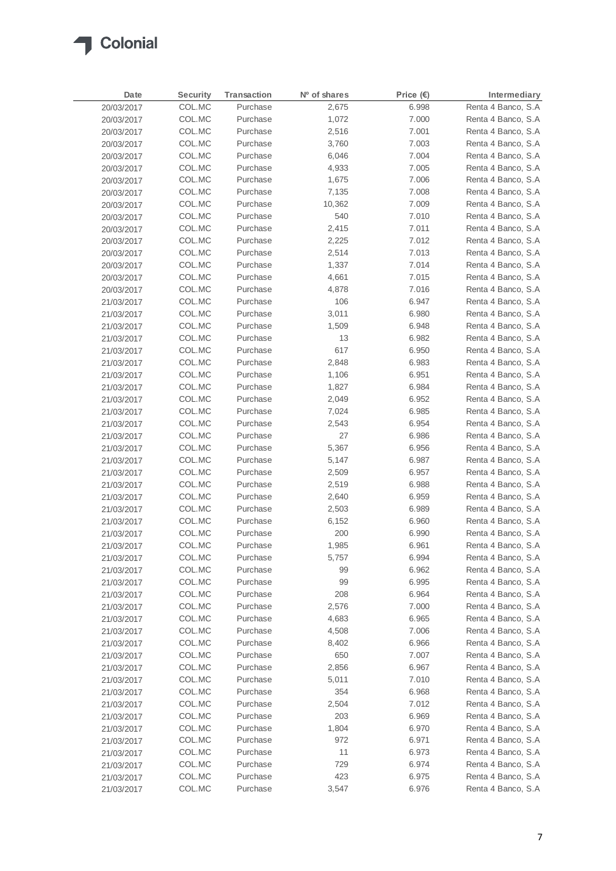

| Date       | <b>Security</b> | <b>Transaction</b> | Nº of shares | Price $(E)$ | Intermediary       |
|------------|-----------------|--------------------|--------------|-------------|--------------------|
| 20/03/2017 | COL.MC          | Purchase           | 2,675        | 6.998       | Renta 4 Banco, S.A |
| 20/03/2017 | COL.MC          | Purchase           | 1,072        | 7.000       | Renta 4 Banco, S.A |
| 20/03/2017 | COL.MC          | Purchase           | 2,516        | 7.001       | Renta 4 Banco, S.A |
| 20/03/2017 | COL.MC          | Purchase           | 3,760        | 7.003       | Renta 4 Banco, S.A |
| 20/03/2017 | COL.MC          | Purchase           | 6,046        | 7.004       | Renta 4 Banco, S.A |
| 20/03/2017 | COL.MC          | Purchase           | 4,933        | 7.005       | Renta 4 Banco, S.A |
| 20/03/2017 | COL.MC          | Purchase           | 1,675        | 7.006       | Renta 4 Banco, S.A |
| 20/03/2017 | COL.MC          | Purchase           | 7,135        | 7.008       | Renta 4 Banco, S.A |
| 20/03/2017 | COL.MC          | Purchase           | 10,362       | 7.009       | Renta 4 Banco, S.A |
| 20/03/2017 | COL.MC          | Purchase           | 540          | 7.010       | Renta 4 Banco, S.A |
| 20/03/2017 | COL.MC          | Purchase           | 2,415        | 7.011       | Renta 4 Banco, S.A |
| 20/03/2017 | COL.MC          | Purchase           | 2,225        | 7.012       | Renta 4 Banco, S.A |
| 20/03/2017 | COL.MC          | Purchase           | 2,514        | 7.013       | Renta 4 Banco, S.A |
| 20/03/2017 | COL.MC          | Purchase           | 1,337        | 7.014       | Renta 4 Banco, S.A |
| 20/03/2017 | COL.MC          | Purchase           | 4,661        | 7.015       | Renta 4 Banco, S.A |
| 20/03/2017 | COL.MC          | Purchase           | 4,878        | 7.016       | Renta 4 Banco, S.A |
| 21/03/2017 | COL.MC          | Purchase           | 106          | 6.947       | Renta 4 Banco, S.A |
| 21/03/2017 | COL.MC          | Purchase           | 3,011        | 6.980       | Renta 4 Banco, S.A |
| 21/03/2017 | COL.MC          | Purchase           | 1,509        | 6.948       | Renta 4 Banco, S.A |
| 21/03/2017 | COL.MC          | Purchase           | 13           | 6.982       | Renta 4 Banco, S.A |
| 21/03/2017 | COL.MC          | Purchase           | 617          | 6.950       | Renta 4 Banco, S.A |
| 21/03/2017 | COL.MC          | Purchase           | 2,848        | 6.983       | Renta 4 Banco, S.A |
| 21/03/2017 | COL.MC          | Purchase           | 1,106        | 6.951       | Renta 4 Banco, S.A |
| 21/03/2017 | COL.MC          | Purchase           | 1,827        | 6.984       | Renta 4 Banco, S.A |
| 21/03/2017 | COL.MC          | Purchase           | 2,049        | 6.952       | Renta 4 Banco, S.A |
| 21/03/2017 | COL.MC          | Purchase           | 7,024        | 6.985       | Renta 4 Banco, S.A |
| 21/03/2017 | COL.MC          | Purchase           | 2,543        | 6.954       | Renta 4 Banco, S.A |
| 21/03/2017 | COL.MC          | Purchase           | 27           | 6.986       | Renta 4 Banco, S.A |
| 21/03/2017 | COL.MC          | Purchase           | 5,367        | 6.956       | Renta 4 Banco, S.A |
| 21/03/2017 | COL.MC          | Purchase           | 5,147        | 6.987       | Renta 4 Banco, S.A |
| 21/03/2017 | COL.MC          | Purchase           | 2,509        | 6.957       | Renta 4 Banco, S.A |
| 21/03/2017 | COL.MC          | Purchase           | 2,519        | 6.988       | Renta 4 Banco, S.A |
| 21/03/2017 | COL.MC          | Purchase           | 2,640        | 6.959       | Renta 4 Banco, S.A |
| 21/03/2017 | COL.MC          | Purchase           | 2,503        | 6.989       | Renta 4 Banco, S.A |
| 21/03/2017 | COL.MC          | Purchase           | 6,152        | 6.960       | Renta 4 Banco, S.A |
| 21/03/2017 | COL.MC          | Purchase           | 200          | 6.990       | Renta 4 Banco, S.A |
| 21/03/2017 | COL.MC          | Purchase           | 1,985        | 6.961       | Renta 4 Banco, S.A |
| 21/03/2017 | COL.MC          | Purchase           | 5,757        | 6.994       | Renta 4 Banco, S.A |
| 21/03/2017 | COL.MC          | Purchase           | 99           | 6.962       | Renta 4 Banco, S.A |
| 21/03/2017 | COL.MC          | Purchase           | 99           | 6.995       | Renta 4 Banco, S.A |
| 21/03/2017 | COL.MC          | Purchase           | 208          | 6.964       | Renta 4 Banco, S.A |
| 21/03/2017 | COL.MC          | Purchase           | 2,576        | 7.000       | Renta 4 Banco, S.A |
| 21/03/2017 | COL.MC          | Purchase           | 4,683        | 6.965       | Renta 4 Banco, S.A |
| 21/03/2017 | COL.MC          | Purchase           | 4,508        | 7.006       | Renta 4 Banco, S.A |
| 21/03/2017 | COL.MC          | Purchase           | 8,402        | 6.966       | Renta 4 Banco, S.A |
| 21/03/2017 | COL.MC          | Purchase           | 650          | 7.007       | Renta 4 Banco, S.A |
| 21/03/2017 | COL.MC          | Purchase           | 2,856        | 6.967       | Renta 4 Banco, S.A |
| 21/03/2017 | COL.MC          | Purchase           | 5,011        | 7.010       | Renta 4 Banco, S.A |
| 21/03/2017 | COL.MC          | Purchase           | 354          | 6.968       | Renta 4 Banco, S.A |
| 21/03/2017 | COL.MC          | Purchase           | 2,504        | 7.012       | Renta 4 Banco, S.A |
| 21/03/2017 | COL.MC          | Purchase           | 203          | 6.969       | Renta 4 Banco, S.A |
| 21/03/2017 | COL.MC          | Purchase           | 1,804        | 6.970       | Renta 4 Banco, S.A |
| 21/03/2017 | COL.MC          | Purchase           | 972          | 6.971       | Renta 4 Banco, S.A |
| 21/03/2017 | COL.MC          | Purchase           | 11           | 6.973       | Renta 4 Banco, S.A |
| 21/03/2017 | COL.MC          | Purchase           | 729          | 6.974       | Renta 4 Banco, S.A |
| 21/03/2017 | COL.MC          | Purchase           | 423          | 6.975       | Renta 4 Banco, S.A |
| 21/03/2017 | COL.MC          | Purchase           | 3,547        | 6.976       | Renta 4 Banco, S.A |